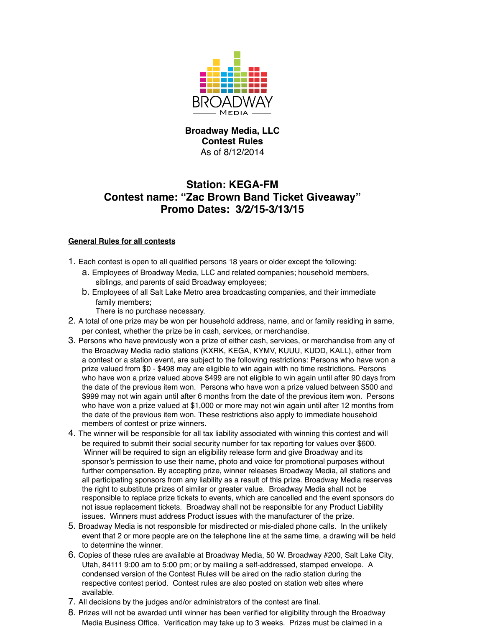

## **Broadway Media, LLC Contest Rules** As of 8/12/2014

# **Station: KEGA-FM Contest name: "Zac Brown Band Ticket Giveaway" Promo Dates: 3/2/15-3/13/15**

### **General Rules for all contests**

- 1. Each contest is open to all qualified persons 18 years or older except the following:
	- a. Employees of Broadway Media, LLC and related companies; household members, siblings, and parents of said Broadway employees;
	- b. Employees of all Salt Lake Metro area broadcasting companies, and their immediate family members;

There is no purchase necessary.

- 2. A total of one prize may be won per household address, name, and or family residing in same, per contest, whether the prize be in cash, services, or merchandise.
- 3. Persons who have previously won a prize of either cash, services, or merchandise from any of the Broadway Media radio stations (KXRK, KEGA, KYMV, KUUU, KUDD, KALL), either from a contest or a station event, are subject to the following restrictions: Persons who have won a prize valued from \$0 - \$498 may are eligible to win again with no time restrictions. Persons who have won a prize valued above \$499 are not eligible to win again until after 90 days from the date of the previous item won. Persons who have won a prize valued between \$500 and \$999 may not win again until after 6 months from the date of the previous item won. Persons who have won a prize valued at \$1,000 or more may not win again until after 12 months from the date of the previous item won. These restrictions also apply to immediate household members of contest or prize winners.
- 4. The winner will be responsible for all tax liability associated with winning this contest and will be required to submit their social security number for tax reporting for values over \$600. Winner will be required to sign an eligibility release form and give Broadway and its sponsor's permission to use their name, photo and voice for promotional purposes without further compensation. By accepting prize, winner releases Broadway Media, all stations and all participating sponsors from any liability as a result of this prize. Broadway Media reserves the right to substitute prizes of similar or greater value. Broadway Media shall not be responsible to replace prize tickets to events, which are cancelled and the event sponsors do not issue replacement tickets. Broadway shall not be responsible for any Product Liability issues. Winners must address Product issues with the manufacturer of the prize.
- 5. Broadway Media is not responsible for misdirected or mis-dialed phone calls. In the unlikely event that 2 or more people are on the telephone line at the same time, a drawing will be held to determine the winner.
- 6. Copies of these rules are available at Broadway Media, 50 W. Broadway #200, Salt Lake City, Utah, 84111 9:00 am to 5:00 pm; or by mailing a self-addressed, stamped envelope. A condensed version of the Contest Rules will be aired on the radio station during the respective contest period. Contest rules are also posted on station web sites where available.
- 7. All decisions by the judges and/or administrators of the contest are final.
- 8. Prizes will not be awarded until winner has been verified for eligibility through the Broadway Media Business Office. Verification may take up to 3 weeks. Prizes must be claimed in a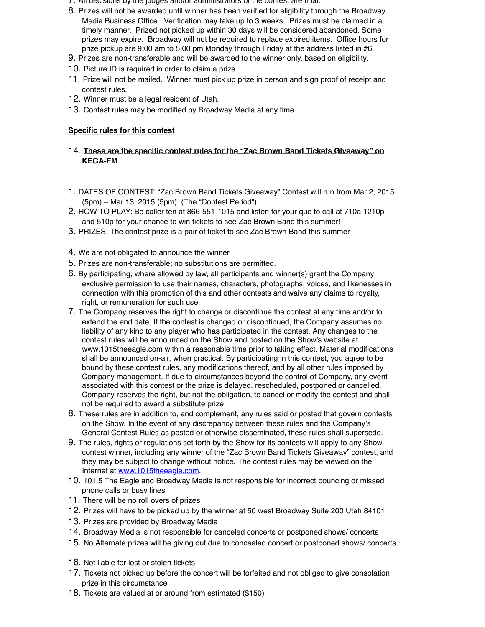- 7. All decisions by the judges and/or administrators of the contest are final.
- 8. Prizes will not be awarded until winner has been verified for eligibility through the Broadway Media Business Office. Verification may take up to 3 weeks. Prizes must be claimed in a timely manner. Prized not picked up within 30 days will be considered abandoned. Some prizes may expire. Broadway will not be required to replace expired items. Office hours for prize pickup are 9:00 am to 5:00 pm Monday through Friday at the address listed in #6.
- 9. Prizes are non-transferable and will be awarded to the winner only, based on eligibility.
- 10. Picture ID is required in order to claim a prize.
- 11. Prize will not be mailed. Winner must pick up prize in person and sign proof of receipt and contest rules.
- 12. Winner must be a legal resident of Utah.
- 13. Contest rules may be modified by Broadway Media at any time.

#### **Specific rules for this contest**

#### 14. **These are the specific contest rules for the "Zac Brown Band Tickets Giveaway" on KEGA-FM**

- 1. DATES OF CONTEST: "Zac Brown Band Tickets Giveaway" Contest will run from Mar 2, 2015 (5pm) – Mar 13, 2015 (5pm). (The "Contest Period").
- 2. HOW TO PLAY: Be caller ten at 866-551-1015 and listen for your que to call at 710a 1210p and 510p for your chance to win tickets to see Zac Brown Band this summer!
- 3. PRIZES: The contest prize is a pair of ticket to see Zac Brown Band this summer
- 4. We are not obligated to announce the winner
- 5. Prizes are non-transferable; no substitutions are permitted.
- 6. By participating, where allowed by law, all participants and winner(s) grant the Company exclusive permission to use their names, characters, photographs, voices, and likenesses in connection with this promotion of this and other contests and waive any claims to royalty, right, or remuneration for such use.
- 7. The Company reserves the right to change or discontinue the contest at any time and/or to extend the end date. If the contest is changed or discontinued, the Company assumes no liability of any kind to any player who has participated in the contest. Any changes to the contest rules will be announced on the Show and posted on the Show's website at www.1015theeagle.com within a reasonable time prior to taking effect. Material modifications shall be announced on-air, when practical. By participating in this contest, you agree to be bound by these contest rules, any modifications thereof, and by all other rules imposed by Company management. If due to circumstances beyond the control of Company, any event associated with this contest or the prize is delayed, rescheduled, postponed or cancelled, Company reserves the right, but not the obligation, to cancel or modify the contest and shall not be required to award a substitute prize.
- 8. These rules are in addition to, and complement, any rules said or posted that govern contests on the Show. In the event of any discrepancy between these rules and the Company's General Contest Rules as posted or otherwise disseminated, these rules shall supersede.
- 9. The rules, rights or regulations set forth by the Show for its contests will apply to any Show contest winner, including any winner of the "Zac Brown Band Tickets Giveaway" contest, and they may be subject to change without notice. The contest rules may be viewed on the Internet at www.1015theeagle.com.
- 10. 101.5 The Eagle and Broadway Media is not responsible for incorrect pouncing or missed phone calls or busy lines
- 11. There will be no roll overs of prizes
- 12. Prizes will have to be picked up by the winner at 50 west Broadway Suite 200 Utah 84101
- 13. Prizes are provided by Broadway Media
- 14. Broadway Media is not responsible for canceled concerts or postponed shows/ concerts
- 15. No Alternate prizes will be giving out due to concealed concert or postponed shows/ concerts
- 16. Not liable for lost or stolen tickets
- 17. Tickets not picked up before the concert will be forfeited and not obliged to give consolation prize in this circumstance
- 18. Tickets are valued at or around from estimated (\$150)